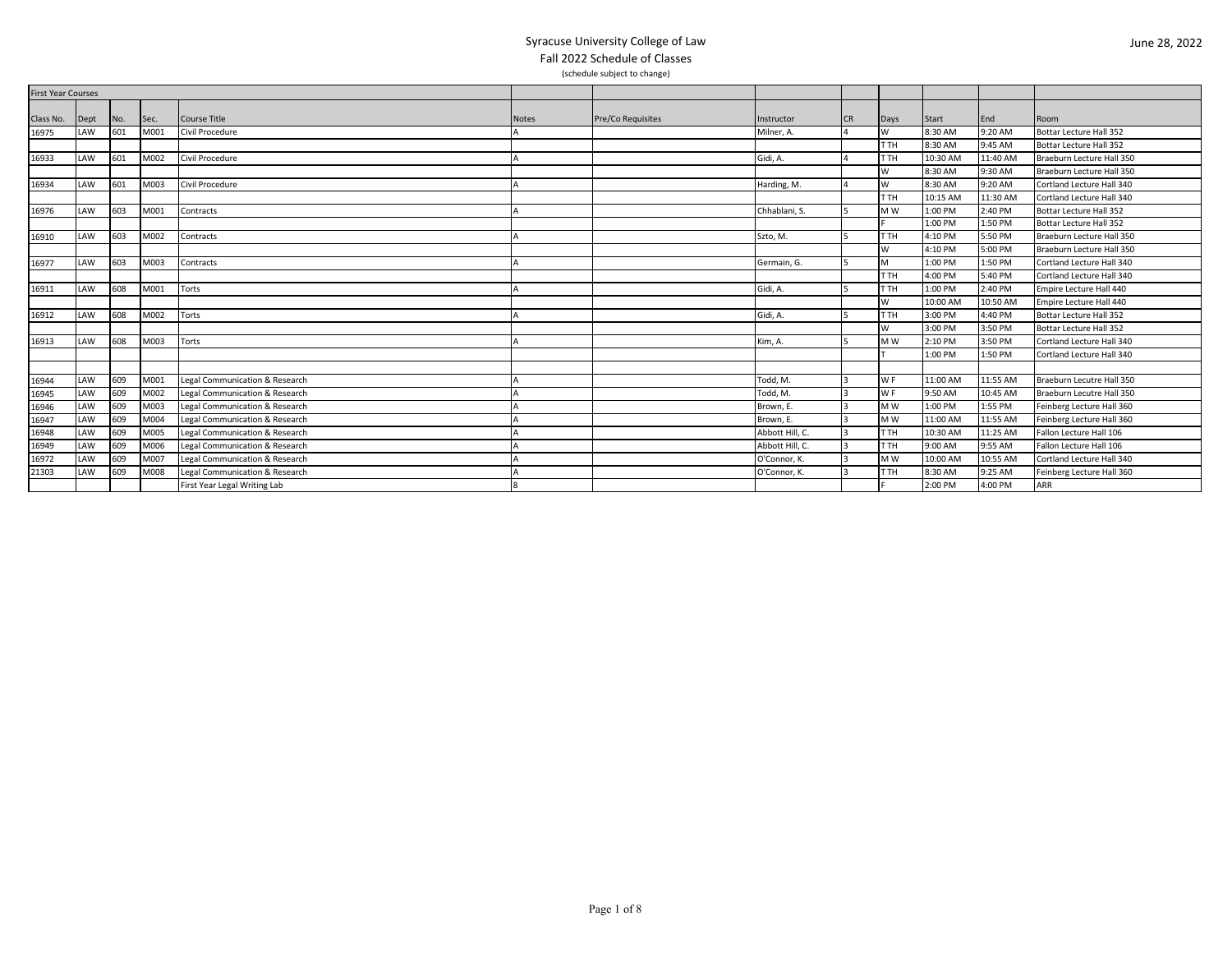| <b>First Year Courses</b> |      |     |      |                                |              |                   |                 |           |                |              |          |                           |
|---------------------------|------|-----|------|--------------------------------|--------------|-------------------|-----------------|-----------|----------------|--------------|----------|---------------------------|
|                           |      |     |      |                                |              |                   |                 |           |                |              |          |                           |
| Class No.                 | Dept | No. | Sec. | Course Title                   | <b>Notes</b> | Pre/Co Requisites | Instructor      | <b>CR</b> | Days           | <b>Start</b> | End      | Room                      |
| 16975                     | LAW  | 601 | M001 | Civil Procedure                |              |                   | Milner, A.      |           | W              | 8:30 AM      | 9:20 AM  | Bottar Lecture Hall 352   |
|                           |      |     |      |                                |              |                   |                 |           | T TH           | 8:30 AM      | 9:45 AM  | Bottar Lecture Hall 352   |
| 16933                     | LAW  | 601 | M002 | Civil Procedure                |              |                   | Gidi, A.        |           | T TH           | 10:30 AM     | 11:40 AM | Braeburn Lecture Hall 350 |
|                           |      |     |      |                                |              |                   |                 |           | W              | 8:30 AM      | 9:30 AM  | Braeburn Lecture Hall 350 |
| 16934                     | LAW  | 601 | M003 | Civil Procedure                |              |                   | Harding, M.     |           | W              | 8:30 AM      | 9:20 AM  | Cortland Lecture Hall 340 |
|                           |      |     |      |                                |              |                   |                 |           | T TH           | 10:15 AM     | 11:30 AM | Cortland Lecture Hall 340 |
| 16976                     | LAW  | 603 | M001 | Contracts                      |              |                   | Chhablani, S.   |           | M W            | 1:00 PM      | 2:40 PM  | Bottar Lecture Hall 352   |
|                           |      |     |      |                                |              |                   |                 |           |                | 1:00 PM      | 1:50 PM  | Bottar Lecture Hall 352   |
| 16910                     | LAW  | 603 | M002 | Contracts                      |              |                   | Szto, M.        |           | r TH           | 4:10 PM      | 5:50 PM  | Braeburn Lecture Hall 350 |
|                           |      |     |      |                                |              |                   |                 |           | W              | 4:10 PM      | 5:00 PM  | Braeburn Lecture Hall 350 |
| 16977                     | LAW  | 603 | M003 | Contracts                      |              |                   | Germain, G.     |           | M              | 1:00 PM      | 1:50 PM  | Cortland Lecture Hall 340 |
|                           |      |     |      |                                |              |                   |                 |           | T TH           | 4:00 PM      | 5:40 PM  | Cortland Lecture Hall 340 |
| 16911                     | LAW  | 608 | M001 | Torts                          |              |                   | Gidi, A.        |           | T TH           | 1:00 PM      | 2:40 PM  | Empire Lecture Hall 440   |
|                           |      |     |      |                                |              |                   |                 |           | W              | 10:00 AM     | 10:50 AM | Empire Lecture Hall 440   |
| 16912                     | LAW  | 608 | M002 | Torts                          |              |                   | Gidi, A.        |           | T TH           | 3:00 PM      | 4:40 PM  | Bottar Lecture Hall 352   |
|                           |      |     |      |                                |              |                   |                 |           | W              | 3:00 PM      | 3:50 PM  | Bottar Lecture Hall 352   |
| 16913                     | LAW  | 608 | M003 | Torts                          |              |                   | Kim, A.         |           | M W            | 2:10 PM      | 3:50 PM  | Cortland Lecture Hall 340 |
|                           |      |     |      |                                |              |                   |                 |           |                | 1:00 PM      | 1:50 PM  | Cortland Lecture Hall 340 |
|                           |      |     |      |                                |              |                   |                 |           |                |              |          |                           |
| 16944                     | LAW  | 609 | M001 | Legal Communication & Research |              |                   | Todd, M.        |           | W <sub>F</sub> | 11:00 AM     | 11:55 AM | Braeburn Lecutre Hall 350 |
| 16945                     | LAW  | 609 | M002 | Legal Communication & Research |              |                   | Todd, M.        |           | <b>WF</b>      | 9:50 AM      | 10:45 AM | Braeburn Lecutre Hall 350 |
| 16946                     | LAW  | 609 | M003 | Legal Communication & Research |              |                   | Brown, E.       |           | <b>MW</b>      | 1:00 PM      | 1:55 PM  | Feinberg Lecture Hall 360 |
| 16947                     | LAW  | 609 | M004 | Legal Communication & Research |              |                   | Brown. E.       |           | M <sub>W</sub> | 11:00 AM     | 11:55 AM | Feinberg Lecture Hall 360 |
| 16948                     | LAW  | 509 | M005 | Legal Communication & Research |              |                   | Abbott Hill, C. |           | T TH           | 10:30 AM     | 11:25 AM | Fallon Lecture Hall 106   |
| 16949                     | LAW  | 509 | M006 | Legal Communication & Research |              |                   | Abbott Hill, C. |           | T TH           | 9:00 AM      | 9:55 AM  | Fallon Lecture Hall 106   |
| 16972                     | LAW  | 509 | M007 | Legal Communication & Research |              |                   | O'Connor, K.    |           | M W            | 10:00 AM     | 10:55 AM | Cortland Lecture Hall 340 |
| 21303                     | LAW  | 609 | M008 | Legal Communication & Research |              |                   | O'Connor, K.    |           | T TH           | 8:30 AM      | 9:25 AM  | Feinberg Lecture Hall 360 |
|                           |      |     |      | First Year Legal Writing Lab   |              |                   |                 |           |                | 2:00 PM      | 4:00 PM  | <b>ARR</b>                |
|                           |      |     |      |                                |              |                   |                 |           |                |              |          |                           |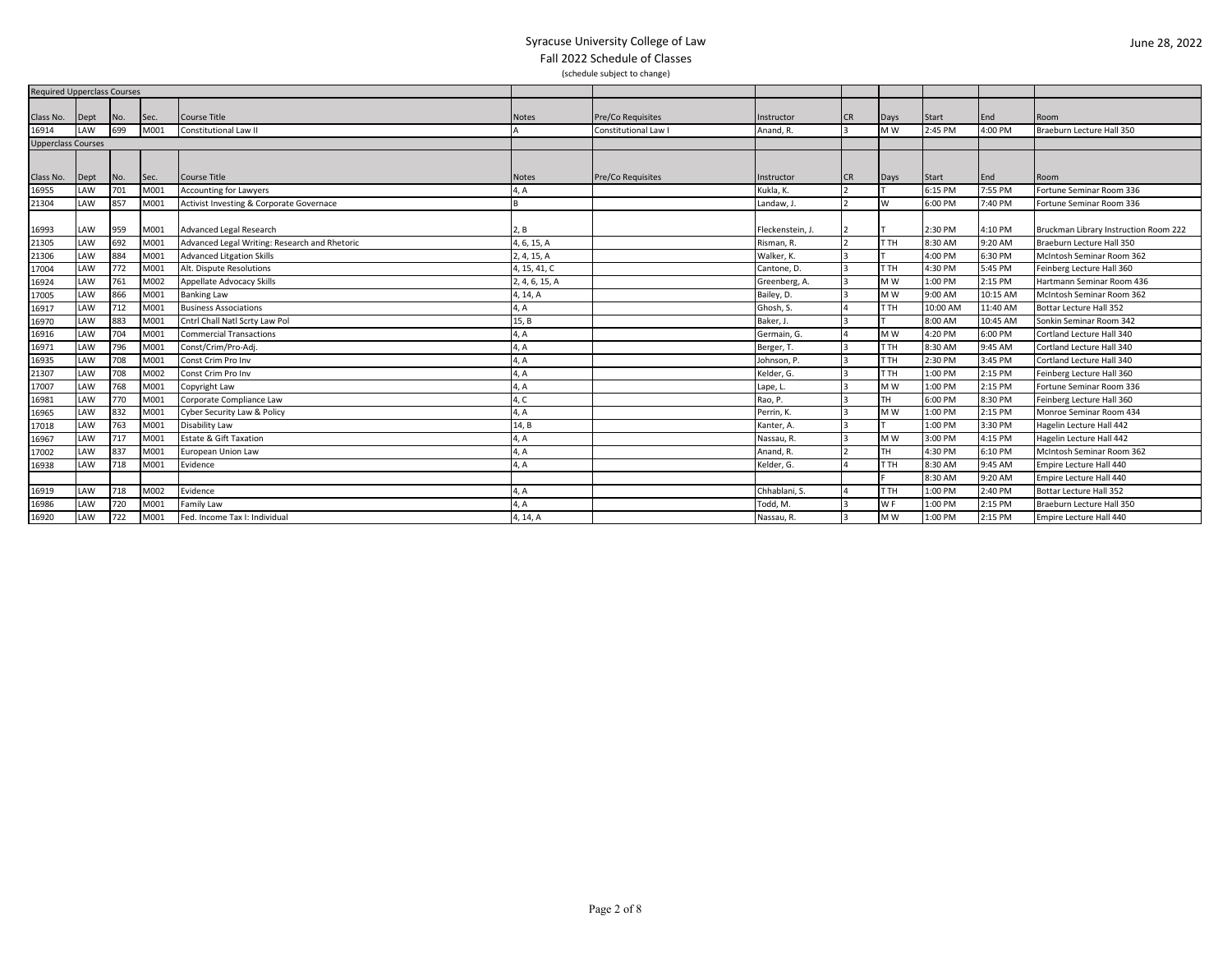| <b>Required Upperclass Courses</b> |      |     |      |                                               |                          |                    |                  |           |                |              |          |                                       |
|------------------------------------|------|-----|------|-----------------------------------------------|--------------------------|--------------------|------------------|-----------|----------------|--------------|----------|---------------------------------------|
|                                    |      |     |      |                                               |                          |                    |                  |           |                |              |          |                                       |
| Class No.                          | Dept | No. | Sec. | Course Title                                  | <b>Notes</b>             | Pre/Co Requisites  | Instructor       | <b>CR</b> | Days           | <b>Start</b> | End      | Room                                  |
| 16914                              | LAW  | 699 | M001 | Constitutional Law II                         |                          | Constitutional Law | Anand, R.        |           | M W            | 2:45 PM      | 4:00 PM  | Braeburn Lecture Hall 350             |
| <b>Upperclass Courses</b>          |      |     |      |                                               |                          |                    |                  |           |                |              |          |                                       |
|                                    |      |     |      |                                               |                          |                    |                  |           |                |              |          |                                       |
| Class No.                          | Dept | No. | Sec. | Course Title                                  | <b>Notes</b>             | Pre/Co Requisites  | Instructor       | <b>CR</b> | Days           | Start        | End      | Room                                  |
| 16955                              | LAW  | 701 | M001 | <b>Accounting for Lawyers</b>                 | 4, A                     |                    | Kukla, K.        |           |                | 6:15 PM      | 7:55 PM  | Fortune Seminar Room 336              |
| 21304                              | LAW  | 857 | M001 | Activist Investing & Corporate Governace      |                          |                    | Landaw, J.       |           | W              | 6:00 PM      | 7:40 PM  | Fortune Seminar Room 336              |
|                                    |      |     |      |                                               |                          |                    |                  |           |                |              |          |                                       |
| 16993                              | LAW  | 959 | M001 | Advanced Legal Research                       | 2, B                     |                    | Fleckenstein, J. |           |                | 2:30 PM      | 4:10 PM  | Bruckman Library Instruction Room 222 |
| 21305                              | LAW  | 692 | M001 | Advanced Legal Writing: Research and Rhetoric | 4, 6, 15, A              |                    | Risman, R.       |           | T TH           | 8:30 AM      | 9:20 AM  | Braeburn Lecture Hall 350             |
| 21306                              | LAW  | 884 | M001 | <b>Advanced Litgation Skills</b>              | 2, 4, 15, A              |                    | Walker, K.       |           |                | 4:00 PM      | 6:30 PM  | McIntosh Seminar Room 362             |
| 17004                              | LAW  | 772 | M001 | Alt. Dispute Resolutions                      | 4, 15, 41, C             |                    | Cantone, D.      |           | T TH           | 4:30 PM      | 5:45 PM  | Feinberg Lecture Hall 360             |
| 16924                              | LAW  | 761 | M002 | Appellate Advocacy Skills                     | 2, 4, 6, 15, A           |                    | Greenberg, A.    |           | M W            | 1:00 PM      | 2:15 PM  | Hartmann Seminar Room 436             |
| 17005                              | LAW  | 866 | M001 | <b>Banking Law</b>                            | 4, 14, A                 |                    | Bailey, D.       |           | M W            | 9:00 AM      | 10:15 AM | McIntosh Seminar Room 362             |
| 16917                              | LAW  | 712 | M001 | <b>Business Associations</b>                  | 4, A                     |                    | Ghosh, S.        |           | т тн           | 10:00 AM     | 11:40 AM | Bottar Lecture Hall 352               |
| 16970                              | LAW  | 883 | M001 | Cntrl Chall Natl Scrty Law Pol                | 15, B                    |                    | Baker, J.        |           |                | 8:00 AM      | 10:45 AM | Sonkin Seminar Room 342               |
| 16916                              | LAW  | 704 | M001 | <b>Commercial Transactions</b>                | 4, A                     |                    | Germain, G.      |           | M W            | 4:20 PM      | 6:00 PM  | Cortland Lecture Hall 340             |
| 16971                              | LAW  | 796 | M001 | Const/Crim/Pro-Adj.                           | 4, A                     |                    | Berger, T.       |           | T TH           | 8:30 AM      | 9:45 AM  | Cortland Lecture Hall 340             |
| 16935                              | LAW  | 708 | M001 | Const Crim Pro Inv                            | $\mathsf{A}, \mathsf{A}$ |                    | Johnson, P.      |           | T TH           | 2:30 PM      | 3:45 PM  | Cortland Lecture Hall 340             |
| 21307                              | LAW  | 708 | M002 | Const Crim Pro Inv                            | $\mathsf{A}, \mathsf{A}$ |                    | Kelder, G.       |           | T TH           | 1:00 PM      | 2:15 PM  | Feinberg Lecture Hall 360             |
| 17007                              | LAW  | 768 | M001 | Copyright Law                                 | 4, A                     |                    | Lape, L.         |           | M W            | 1:00 PM      | 2:15 PM  | Fortune Seminar Room 336              |
| 16981                              | LAW  | 770 | M001 | Corporate Compliance Law                      | 4, C                     |                    | Rao, P.          |           | TН             | 6:00 PM      | 8:30 PM  | Feinberg Lecture Hall 360             |
| 16965                              | LAW  | 832 | M001 | Cyber Security Law & Policy                   | 4, A                     |                    | Perrin, K.       |           | M W            | 1:00 PM      | 2:15 PM  | Monroe Seminar Room 434               |
| 17018                              | LAW  | 763 | M001 | Disability Law                                | 14, B                    |                    | Kanter, A.       |           |                | 1:00 PM      | 3:30 PM  | Hagelin Lecture Hall 442              |
| 16967                              | LAW  | 717 | M001 | <b>Estate &amp; Gift Taxation</b>             | 4, A                     |                    | Nassau, R.       |           | M W            | 3:00 PM      | 4:15 PM  | Hagelin Lecture Hall 442              |
| 17002                              | LAW  | 837 | M001 | European Union Law                            | 4, A                     |                    | Anand, R.        |           | <b>TH</b>      | 4:30 PM      | 6:10 PM  | McIntosh Seminar Room 362             |
| 16938                              | LAW  | 718 | M001 | Evidence                                      | 4, A                     |                    | Kelder, G.       |           | T TH           | 8:30 AM      | 9:45 AM  | Empire Lecture Hall 440               |
|                                    |      |     |      |                                               |                          |                    |                  |           |                | 8:30 AM      | 9:20 AM  | Empire Lecture Hall 440               |
| 16919                              | LAW  | 718 | M002 | Evidence                                      | 4, A                     |                    | Chhablani, S.    |           | T TH           | 1:00 PM      | 2:40 PM  | Bottar Lecture Hall 352               |
| 16986                              | LAW  | 720 | M001 | Family Law                                    | 4, A                     |                    | Todd, M.         |           | W <sub>F</sub> | 1:00 PM      | 2:15 PM  | Braeburn Lecture Hall 350             |
| 16920                              | LAW  | 722 | M001 | Fed. Income Tax I: Individual                 | 4, 14, A                 |                    | Nassau, R.       |           | M W            | 1:00 PM      | 2:15 PM  | Empire Lecture Hall 440               |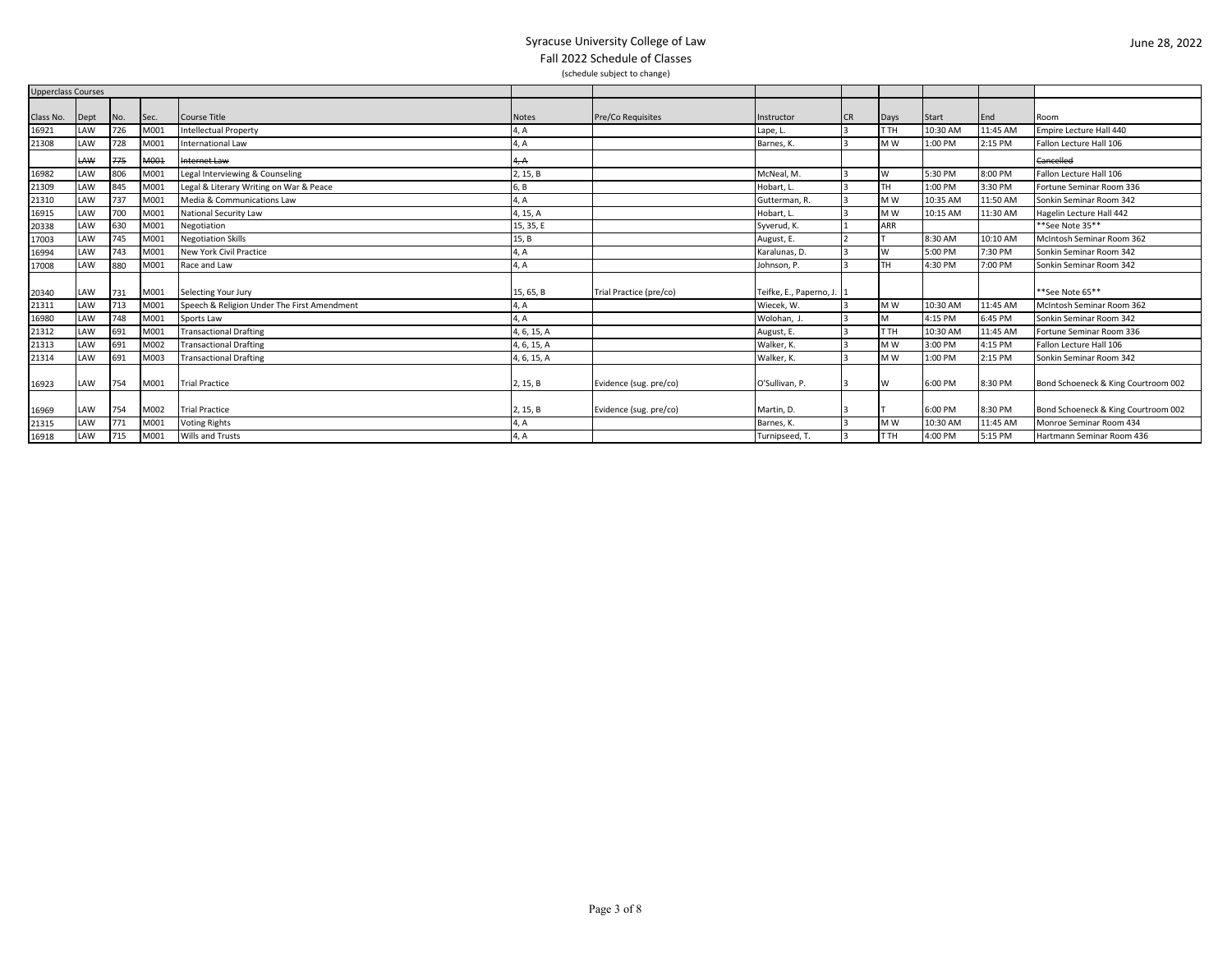| <b>Upperclass Courses</b> |            |     |      |                                             |             |                         |                           |    |           |          |          |                                     |
|---------------------------|------------|-----|------|---------------------------------------------|-------------|-------------------------|---------------------------|----|-----------|----------|----------|-------------------------------------|
|                           |            |     |      |                                             |             |                         |                           |    |           |          |          |                                     |
| Class No.                 | Dept       | No. | Sec. | <b>Course Title</b>                         | Notes       | Pre/Co Requisites       | Instructor                | CR | Days      | Start    | End      | Room                                |
| 16921                     | LAW        | 726 | M001 | <b>Intellectual Property</b>                | 4, A        |                         | Lape, L.                  |    | Іт тн     | 10:30 AM | 11:45 AM | Empire Lecture Hall 440             |
| 21308                     | LAW        | 728 | M001 | <b>International Law</b>                    | 4, A        |                         | Barnes, K.                |    | <b>MW</b> | 1:00 PM  | 2:15 PM  | Fallon Lecture Hall 106             |
|                           | <b>LAW</b> | 775 | M001 | Internet Law                                | 4, A        |                         |                           |    |           |          |          | Cancelled                           |
| 16982                     | LAW        | 806 | M001 | Legal Interviewing & Counseling             | 2, 15, B    |                         | McNeal, M.                |    | W         | 5:30 PM  | 8:00 PM  | Fallon Lecture Hall 106             |
| 21309                     | LAW        | 845 | M001 | Legal & Literary Writing on War & Peace     | 6, B        |                         | Hobart, L.                |    | lth.      | 1:00 PM  | 3:30 PM  | Fortune Seminar Room 336            |
| 21310                     | LAW        |     | M001 | Media & Communications Law                  | 4, A        |                         | Gutterman, R.             |    | <b>MW</b> | 10:35 AM | 11:50 AM | Sonkin Seminar Room 342             |
| 16915                     | LAW        | 700 | M001 | National Security Law                       | 4, 15, A    |                         | Hobart, L.                |    | <b>MW</b> | 10:15 AM | 11:30 AM | Hagelin Lecture Hall 442            |
| 20338                     | LAW        | 630 | M001 | Negotiation                                 | 15, 35, E   |                         | Syverud, K.               |    | ARR       |          |          | **See Note 35**                     |
| 17003                     | LAW        | 745 | M001 | <b>Negotiation Skills</b>                   | 15, B       |                         | August, E.                |    |           | 8:30 AM  | 10:10 AM | McIntosh Seminar Room 362           |
| 16994                     | LAW        | 743 | M001 | New York Civil Practice                     | 4, A        |                         | Karalunas, D.             |    | W         | 5:00 PM  | 7:30 PM  | Sonkin Seminar Room 342             |
| 17008                     | LAW        | 880 | M001 | Race and Law                                | 4, A        |                         | Johnson, P.               |    | lth.      | 4:30 PM  | 7:00 PM  | Sonkin Seminar Room 342             |
| 20340                     | LAW        | 731 | M001 | Selecting Your Jury                         | 15, 65, B   | Trial Practice (pre/co) | Teifke, E., Paperno, J. 1 |    |           |          |          | **See Note 65**                     |
| 21311                     | LAW        | 713 | M001 | Speech & Religion Under The First Amendment | 4, A        |                         | Wiecek, W.                |    | <b>MW</b> | 10:30 AM | 11:45 AM | McIntosh Seminar Room 362           |
| 16980                     | LAW        | 748 | M001 | Sports Law                                  | 4, A        |                         | Wolohan, J                |    | M         | 4:15 PM  | 6:45 PM  | Sonkin Seminar Room 342             |
| 21312                     | LAW        | 691 | M001 | <b>Transactional Drafting</b>               | 4, 6, 15, A |                         | August, E.                |    | IT TH     | 10:30 AM | 11:45 AM | Fortune Seminar Room 336            |
| 21313                     | LAW        | 691 | M002 | <b>Transactional Drafting</b>               | 4, 6, 15, A |                         | Walker, K.                |    | <b>MW</b> | 3:00 PM  | 4:15 PM  | Fallon Lecture Hall 106             |
| 21314                     | LAW        | 691 | M003 | <b>Transactional Drafting</b>               | 4, 6, 15, A |                         | Walker, K.                |    | M W       | 1:00 PM  | 2:15 PM  | Sonkin Seminar Room 342             |
| 16923                     | LAW        | 754 | M001 | <b>Trial Practice</b>                       | 2, 15, B    | Evidence (sug. pre/co)  | O'Sullivan, P.            |    | W         | 6:00 PM  | 8:30 PM  | Bond Schoeneck & King Courtroom 002 |
| 16969                     | LAW        | 754 | M002 | <b>Trial Practice</b>                       | 2, 15, B    | Evidence (sug. pre/co)  | Martin, D.                |    |           | 6:00 PM  | 8:30 PM  | Bond Schoeneck & King Courtroom 002 |
| 21315                     | LAW        | 771 | M001 | <b>Voting Rights</b>                        | 4, A        |                         | Barnes, K.                |    | <b>MW</b> | 10:30 AM | 11:45 AM | Monroe Seminar Room 434             |
| 16918                     | LAW        | 715 | M001 | <b>Wills and Trusts</b>                     | 4, A        |                         | Turnipseed, T             |    | Іт тн     | 4:00 PM  | 5:15 PM  | Hartmann Seminar Room 436           |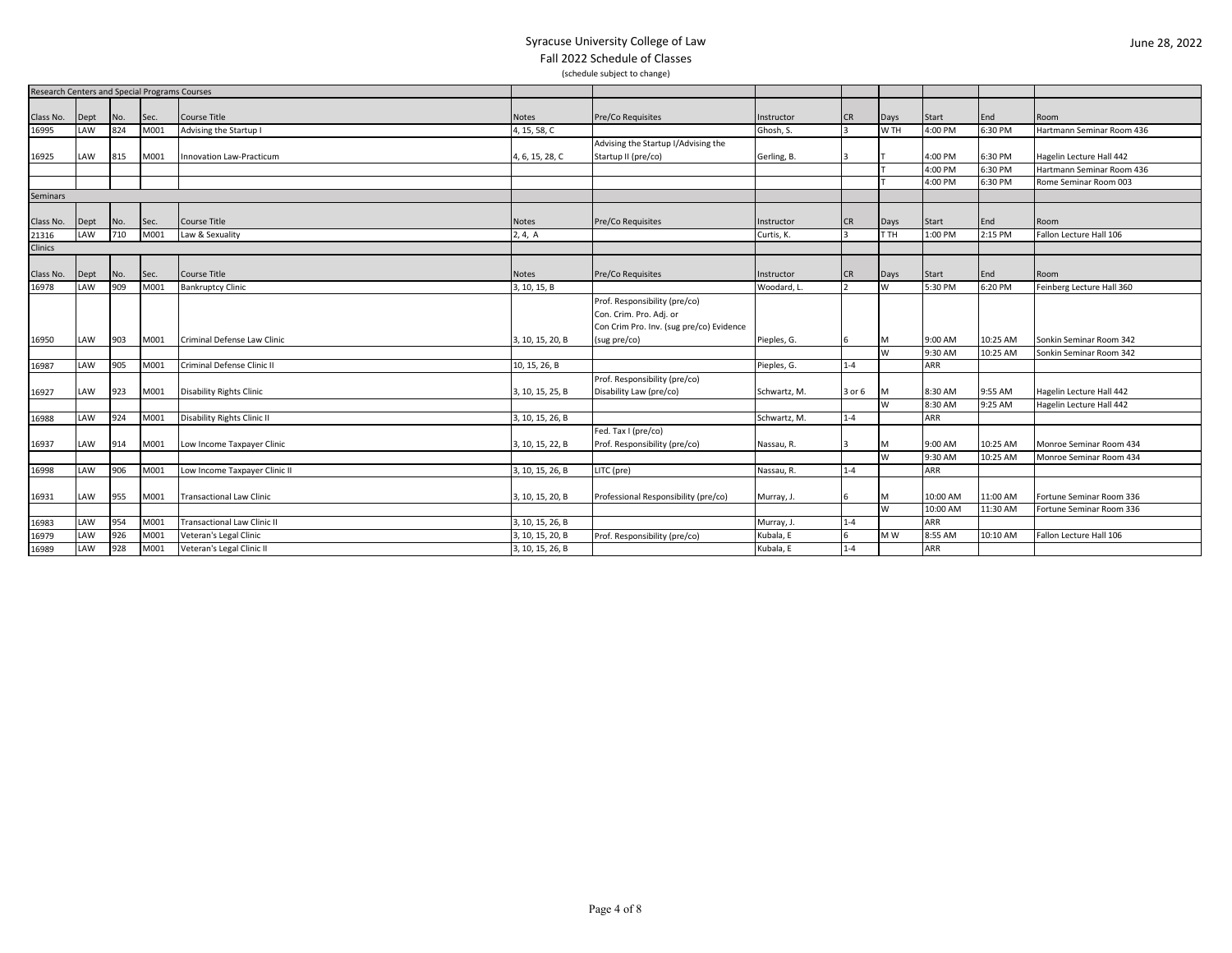| Research Centers and Special Programs Courses |             |     |      |                                    |                  |                                          |              |            |          |            |          |                           |
|-----------------------------------------------|-------------|-----|------|------------------------------------|------------------|------------------------------------------|--------------|------------|----------|------------|----------|---------------------------|
|                                               |             |     |      |                                    |                  |                                          |              |            |          |            |          |                           |
| Class No.                                     | Dept        | No. | Sec. | Course Title                       | Notes            | Pre/Co Requisites                        | Instructor   | <b>ICR</b> | Days     | Start      | End      | Room                      |
| 16995                                         | LAW         | 824 | M001 | Advising the Startup I             | 4, 15, 58, C     |                                          | Ghosh. S.    |            | W TH     | 4:00 PM    | 6:30 PM  | Hartmann Seminar Room 436 |
|                                               |             |     |      |                                    |                  | Advising the Startup I/Advising the      |              |            |          |            |          |                           |
| 16925                                         | LAW         | 815 | M001 | <b>Innovation Law-Practicum</b>    | 4, 6, 15, 28, C  | Startup II (pre/co)                      | Gerling, B.  |            |          | 4:00 PM    | 6:30 PM  | Hagelin Lecture Hall 442  |
|                                               |             |     |      |                                    |                  |                                          |              |            |          | 4:00 PM    | 6:30 PM  | Hartmann Seminar Room 436 |
|                                               |             |     |      |                                    |                  |                                          |              |            |          | 4:00 PM    | 6:30 PM  | Rome Seminar Room 003     |
| Seminars                                      |             |     |      |                                    |                  |                                          |              |            |          |            |          |                           |
|                                               |             |     |      |                                    |                  |                                          |              |            |          |            |          |                           |
| Class No.                                     | Dept        | No. | Sec. | <b>Course Title</b>                | <b>Notes</b>     | Pre/Co Requisites                        | Instructor   | <b>CR</b>  | Days     | Start      | End      | Room                      |
| 21316                                         | LAW         | 710 | M001 | Law & Sexuality                    | 2, 4, A          |                                          | Curtis, K.   |            | T TH     | 1:00 PM    | 2:15 PM  | Fallon Lecture Hall 106   |
| Clinics                                       |             |     |      |                                    |                  |                                          |              |            |          |            |          |                           |
|                                               |             |     |      |                                    |                  |                                          |              |            |          |            |          |                           |
| Class No.                                     | <b>Dept</b> | No. | Sec. | <b>Course Title</b>                | Notes            | Pre/Co Requisites                        | Instructor   | <b>CR</b>  | Days     | Start      | End      | Room                      |
| 16978                                         | LAW         | 909 | M001 | <b>Bankruptcy Clinic</b>           | 3, 10, 15, B     |                                          | Woodard, L   |            | W        | 5:30 PM    | 6:20 PM  | Feinberg Lecture Hall 360 |
|                                               |             |     |      |                                    |                  | Prof. Responsibility (pre/co)            |              |            |          |            |          |                           |
|                                               |             |     |      |                                    |                  | Con. Crim. Pro. Adj. or                  |              |            |          |            |          |                           |
|                                               |             |     |      |                                    |                  | Con Crim Pro. Inv. (sug pre/co) Evidence |              |            |          |            |          |                           |
| 16950                                         | LAW         | 903 | M001 | Criminal Defense Law Clinic        | 3, 10, 15, 20, B | (sug pre/co)                             | Pieples, G.  |            | м        | 9:00 AM    | 10:25 AM | Sonkin Seminar Room 342   |
|                                               |             |     |      |                                    |                  |                                          |              |            | <b>W</b> | 9:30 AM    | 10:25 AM | Sonkin Seminar Room 342   |
| 16987                                         | LAW         | 905 | M001 | Criminal Defense Clinic II         | 10, 15, 26, B    |                                          | Pieples, G.  | $1 - 4$    |          | ARR        |          |                           |
|                                               |             |     |      |                                    |                  | Prof. Responsibility (pre/co)            |              |            |          |            |          |                           |
| 16927                                         | LAW         | 923 | M001 | <b>Disability Rights Clinic</b>    | 3, 10, 15, 25, B | Disability Law (pre/co)                  | Schwartz, M. | 3 or 6     | м        | 8:30 AM    | 9:55 AM  | Hagelin Lecture Hall 442  |
|                                               |             |     |      |                                    |                  |                                          |              |            | W        | 8:30 AM    | 9:25 AM  | Hagelin Lecture Hall 442  |
| 16988                                         | LAW         | 924 | M001 | Disability Rights Clinic II        | 3, 10, 15, 26, B |                                          | Schwartz, M. | $1 - 4$    |          | <b>ARR</b> |          |                           |
|                                               |             |     |      |                                    |                  | Fed. Tax I (pre/co)                      |              |            |          |            |          |                           |
| 16937                                         | LAW         | 914 | M001 | Low Income Taxpayer Clinic         | 3, 10, 15, 22, B | Prof. Responsibility (pre/co)            | Nassau, R.   |            | M        | 9:00 AM    | 10:25 AM | Monroe Seminar Room 434   |
|                                               |             |     |      |                                    |                  |                                          |              |            | W        | 9:30 AM    | 10:25 AM | Monroe Seminar Room 434   |
| 16998                                         | LAW         | 906 | M001 | Low Income Taxpayer Clinic II      | 3, 10, 15, 26, B | LITC (pre)                               | Nassau, R.   | $1 - 4$    |          | <b>ARR</b> |          |                           |
|                                               |             |     |      |                                    |                  |                                          |              |            |          |            |          |                           |
| 16931                                         | LAW         | 955 | M001 | <b>Transactional Law Clinic</b>    | 3, 10, 15, 20, B | Professional Responsibility (pre/co)     | Murray, J.   |            | м        | 10:00 AM   | 11:00 AM | Fortune Seminar Room 336  |
|                                               |             |     |      |                                    |                  |                                          |              |            | W        | 10:00 AM   | 11:30 AM | Fortune Seminar Room 336  |
| 16983                                         | LAW         | 954 | M001 | <b>Transactional Law Clinic II</b> | 3, 10, 15, 26, B |                                          | Murray, J.   | $1 - 4$    |          | ARR        |          |                           |
| 16979                                         | LAW         | 926 | M001 | Veteran's Legal Clinic             | 3, 10, 15, 20, B | Prof. Responsibility (pre/co)            | Kubala, E    |            | M W      | 8:55 AM    | 10:10 AM | Fallon Lecture Hall 106   |
| 16989                                         | LAW         | 928 | M001 | Veteran's Legal Clinic II          | 3, 10, 15, 26, B |                                          | Kubala, E    | $1 - 4$    |          | <b>ARR</b> |          |                           |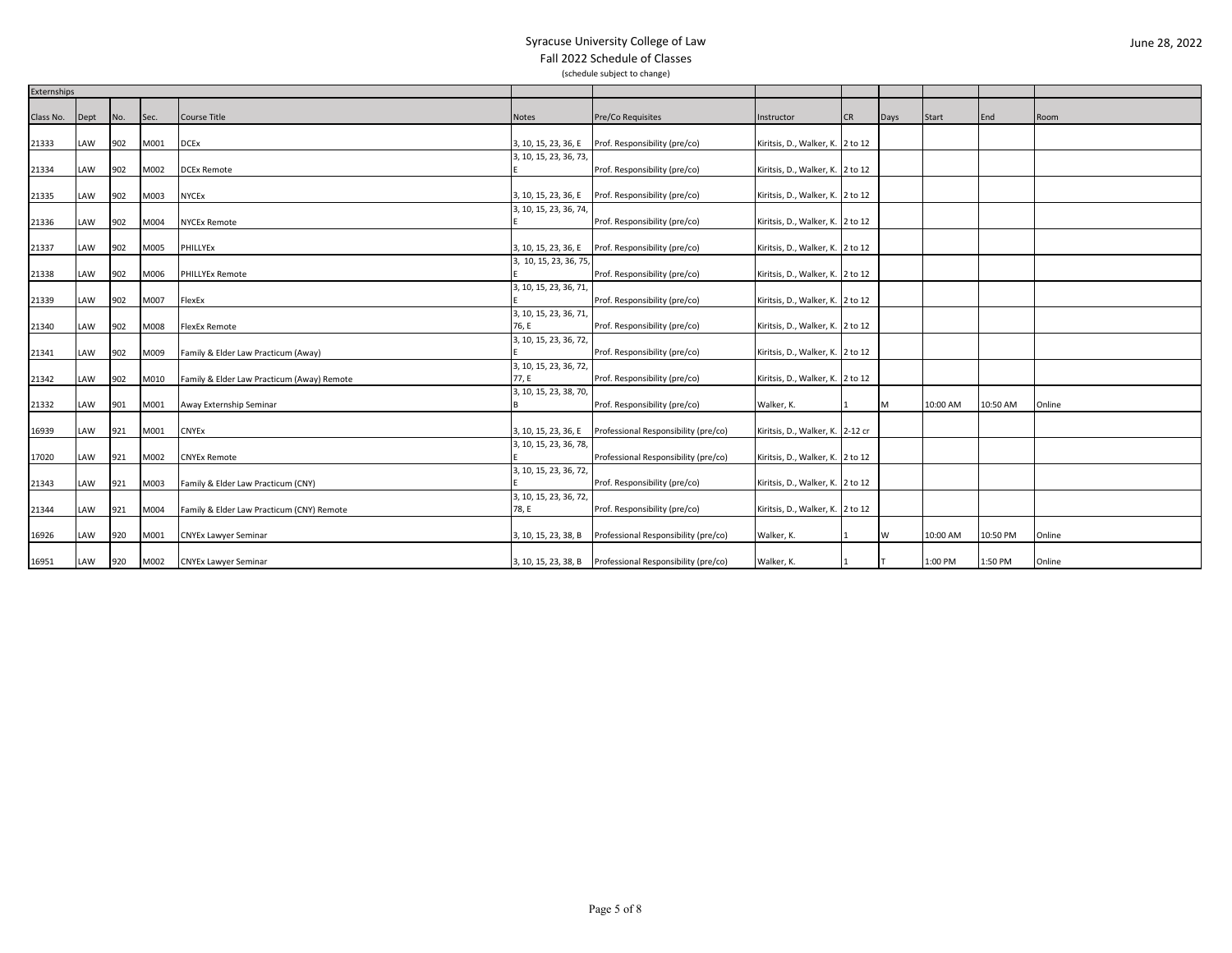|           | Externships |     |      |                                            |                                 |                                      |                                  |           |      |          |          |        |
|-----------|-------------|-----|------|--------------------------------------------|---------------------------------|--------------------------------------|----------------------------------|-----------|------|----------|----------|--------|
| Class No. | Dept        | No. | Sec. | Course Title                               | Notes                           | Pre/Co Requisites                    | Instructor                       | <b>CR</b> | Days | Start    | End      | Room   |
|           |             |     |      |                                            |                                 |                                      |                                  |           |      |          |          |        |
| 21333     | LAW         | 902 | M001 | <b>DCEx</b>                                | 3, 10, 15, 23, 36, E            | Prof. Responsibility (pre/co)        | Kiritsis, D., Walker, K. 2 to 12 |           |      |          |          |        |
|           |             |     |      |                                            | 3, 10, 15, 23, 36, 73,          |                                      |                                  |           |      |          |          |        |
| 21334     | LAW         | 902 | M002 | <b>DCEx Remote</b>                         |                                 | Prof. Responsibility (pre/co)        | Kiritsis, D., Walker, K. 2 to 12 |           |      |          |          |        |
|           |             |     |      |                                            |                                 |                                      |                                  |           |      |          |          |        |
| 21335     | LAW         | 902 | M003 | <b>NYCEx</b>                               | 3, 10, 15, 23, 36, E            | Prof. Responsibility (pre/co)        | Kiritsis, D., Walker, K. 2 to 12 |           |      |          |          |        |
|           |             |     |      |                                            | 3, 10, 15, 23, 36, 74,          |                                      |                                  |           |      |          |          |        |
| 21336     | LAW         | 902 | M004 | <b>NYCEx Remote</b>                        |                                 | Prof. Responsibility (pre/co)        | Kiritsis, D., Walker, K. 2 to 12 |           |      |          |          |        |
|           |             |     |      |                                            |                                 |                                      |                                  |           |      |          |          |        |
| 21337     | LAW         | 902 | M005 | PHILLYEx                                   | 3, 10, 15, 23, 36, E            | Prof. Responsibility (pre/co)        | Kiritsis, D., Walker, K. 2 to 12 |           |      |          |          |        |
|           |             |     |      |                                            | 3, 10, 15, 23, 36, 75,          |                                      |                                  |           |      |          |          |        |
| 21338     | LAW         | 902 | M006 | <b>PHILLYEx Remote</b>                     |                                 | Prof. Responsibility (pre/co)        | Kiritsis, D., Walker, K. 2 to 12 |           |      |          |          |        |
|           |             |     |      |                                            | 3, 10, 15, 23, 36, 71,          |                                      |                                  |           |      |          |          |        |
| 21339     | LAW         | 902 | M007 | FlexEx                                     |                                 | Prof. Responsibility (pre/co)        | Kiritsis, D., Walker, K. 2 to 12 |           |      |          |          |        |
|           |             | 902 | M008 |                                            | 3, 10, 15, 23, 36, 71,<br>76, E |                                      |                                  |           |      |          |          |        |
| 21340     | LAW         |     |      | <b>FlexEx Remote</b>                       | 3, 10, 15, 23, 36, 72,          | Prof. Responsibility (pre/co)        | Kiritsis, D., Walker, K. 2 to 12 |           |      |          |          |        |
| 21341     | LAW         | 902 | M009 | Family & Elder Law Practicum (Away)        |                                 | Prof. Responsibility (pre/co)        | Kiritsis, D., Walker, K. 2 to 12 |           |      |          |          |        |
|           |             |     |      |                                            | 3, 10, 15, 23, 36, 72,          |                                      |                                  |           |      |          |          |        |
| 21342     | LAW         | 902 | M010 | Family & Elder Law Practicum (Away) Remote | 77, E                           | Prof. Responsibility (pre/co)        | Kiritsis, D., Walker, K. 2 to 12 |           |      |          |          |        |
|           |             |     |      |                                            | 3, 10, 15, 23, 38, 70,          |                                      |                                  |           |      |          |          |        |
| 21332     | LAW         | 901 | M001 | Away Externship Seminar                    |                                 | Prof. Responsibility (pre/co)        | Walker, K.                       |           | м    | 10:00 AM | 10:50 AM | Online |
|           |             |     |      |                                            |                                 |                                      |                                  |           |      |          |          |        |
| 16939     | LAW         | 921 | M001 | <b>CNYEx</b>                               | 3, 10, 15, 23, 36, E            | Professional Responsibility (pre/co) | Kiritsis, D., Walker, K. 2-12 cr |           |      |          |          |        |
|           |             |     |      |                                            | 3, 10, 15, 23, 36, 78,          |                                      |                                  |           |      |          |          |        |
| 17020     | LAW         | 921 | M002 | <b>CNYEx Remote</b>                        |                                 | Professional Responsibility (pre/co) | Kiritsis, D., Walker, K. 2 to 12 |           |      |          |          |        |
|           |             |     |      |                                            | 3, 10, 15, 23, 36, 72,          |                                      |                                  |           |      |          |          |        |
| 21343     | LAW         | 921 | M003 | Family & Elder Law Practicum (CNY)         |                                 | Prof. Responsibility (pre/co)        | Kiritsis, D., Walker, K. 2 to 12 |           |      |          |          |        |
|           |             |     |      |                                            | 3, 10, 15, 23, 36, 72,          |                                      |                                  |           |      |          |          |        |
| 21344     | LAW         | 921 | M004 | Family & Elder Law Practicum (CNY) Remote  | 78, E                           | Prof. Responsibility (pre/co)        | Kiritsis, D., Walker, K. 2 to 12 |           |      |          |          |        |
| 16926     | LAW         | 920 | M001 | <b>CNYEx Lawyer Seminar</b>                | 3, 10, 15, 23, 38, B            | Professional Responsibility (pre/co) | Walker, K.                       |           | W    | 10:00 AM | 10:50 PM | Online |
|           |             |     |      |                                            |                                 |                                      |                                  |           |      |          |          |        |
| 16951     | LAW         | 920 | M002 | <b>CNYEx Lawyer Seminar</b>                | 3, 10, 15, 23, 38, B            | Professional Responsibility (pre/co) | Walker, K.                       |           |      | 1:00 PM  | 1:50 PM  | Online |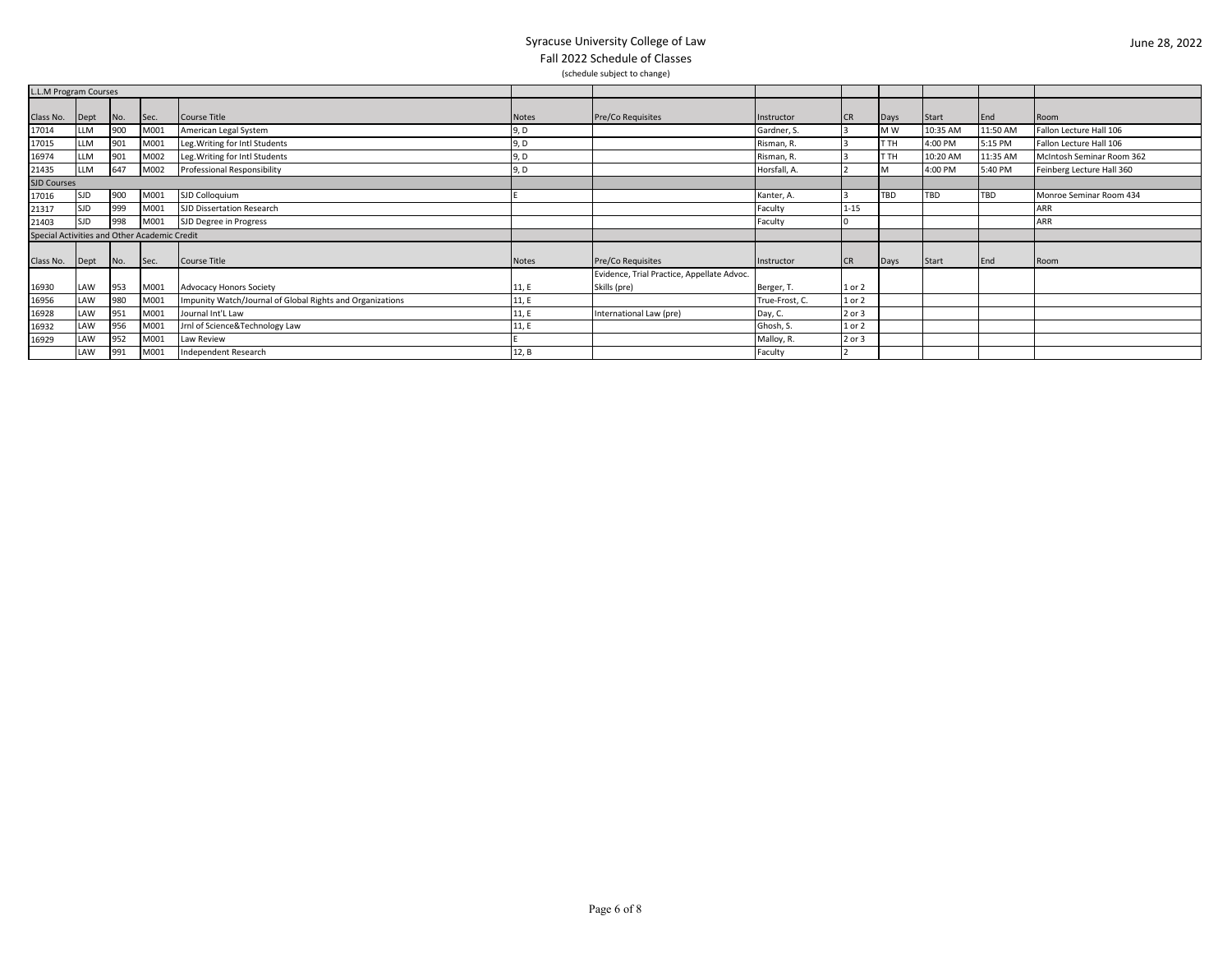| L.L.M Program Courses                        |            |     |      |                                                           |       |                                                            |                |           |      |              |          |                           |
|----------------------------------------------|------------|-----|------|-----------------------------------------------------------|-------|------------------------------------------------------------|----------------|-----------|------|--------------|----------|---------------------------|
| Class No.                                    | Dept       | No. | Sec. | Course Title                                              | Notes | Pre/Co Requisites                                          | Instructor     | <b>CR</b> | Days | Start        | End      | Room                      |
| 17014                                        | LLM        | 900 | M001 | American Legal System                                     | 9, D  |                                                            | Gardner, S.    |           | M W  | 10:35 AM     | 11:50 AM | Fallon Lecture Hall 106   |
| 17015                                        | LLM        |     | M001 | Leg. Writing for Intl Students                            | 9, D  |                                                            | Risman, R.     |           | T TH | 4:00 PM      | 5:15 PM  | Fallon Lecture Hall 106   |
| 16974                                        | LLM        |     | M002 | Leg. Writing for Intl Students                            | 9, D  |                                                            | Risman, R.     |           | г тн | 10:20 AM     | 11:35 AM | McIntosh Seminar Room 362 |
| 21435                                        | LLM        | 647 | M002 | Professional Responsibility                               | 9, D  |                                                            | Horsfall, A.   |           |      | 4:00 PM      | 5:40 PM  | Feinberg Lecture Hall 360 |
| <b>SJD Courses</b>                           |            |     |      |                                                           |       |                                                            |                |           |      |              |          |                           |
| 17016                                        | <b>SJD</b> | 900 | M001 | SJD Colloquium                                            |       |                                                            | Kanter, A.     |           | TBD  | <b>TBD</b>   | TBD      | Monroe Seminar Room 434   |
| 21317                                        | <b>SJD</b> | 999 | M001 | SJD Dissertation Research                                 |       |                                                            | Faculty        | $1 - 15$  |      |              |          | <b>ARR</b>                |
| 21403                                        | <b>SJD</b> | 998 | M001 | SJD Degree in Progress                                    |       |                                                            | Faculty        |           |      |              |          | ARR                       |
| Special Activities and Other Academic Credit |            |     |      |                                                           |       |                                                            |                |           |      |              |          |                           |
| Class No.                                    | Dept       | No. | Sec. | Course Title                                              | Notes | Pre/Co Requisites                                          | Instructor     | <b>CR</b> | Days | <b>Start</b> | End      | Room                      |
| 16930                                        | LAW        | 953 | M001 | <b>Advocacy Honors Society</b>                            | 11, E | Evidence, Trial Practice, Appellate Advoc.<br>Skills (pre) | Berger, T.     | 1 or 2    |      |              |          |                           |
| 16956                                        | LAW        | 980 | M001 | Impunity Watch/Journal of Global Rights and Organizations | 11, E |                                                            | True-Frost, C. | 1 or 2    |      |              |          |                           |
| 16928                                        | LAW        | 95. | M001 | Journal Int'L Law                                         | 11, E | International Law (pre)                                    | Day, C.        | 2 or 3    |      |              |          |                           |
| 16932                                        | LAW        | 956 | M001 | Jrnl of Science&Technology Law                            | 11, E |                                                            | Ghosh, S.      | 1 or 2    |      |              |          |                           |
| 16929                                        | LAW        |     | M001 | Law Review                                                |       |                                                            | Malloy, R.     | 2 or 3    |      |              |          |                           |
|                                              | LAW        | 991 | M001 | <b>Independent Research</b>                               | 12, B |                                                            | Faculty        |           |      |              |          |                           |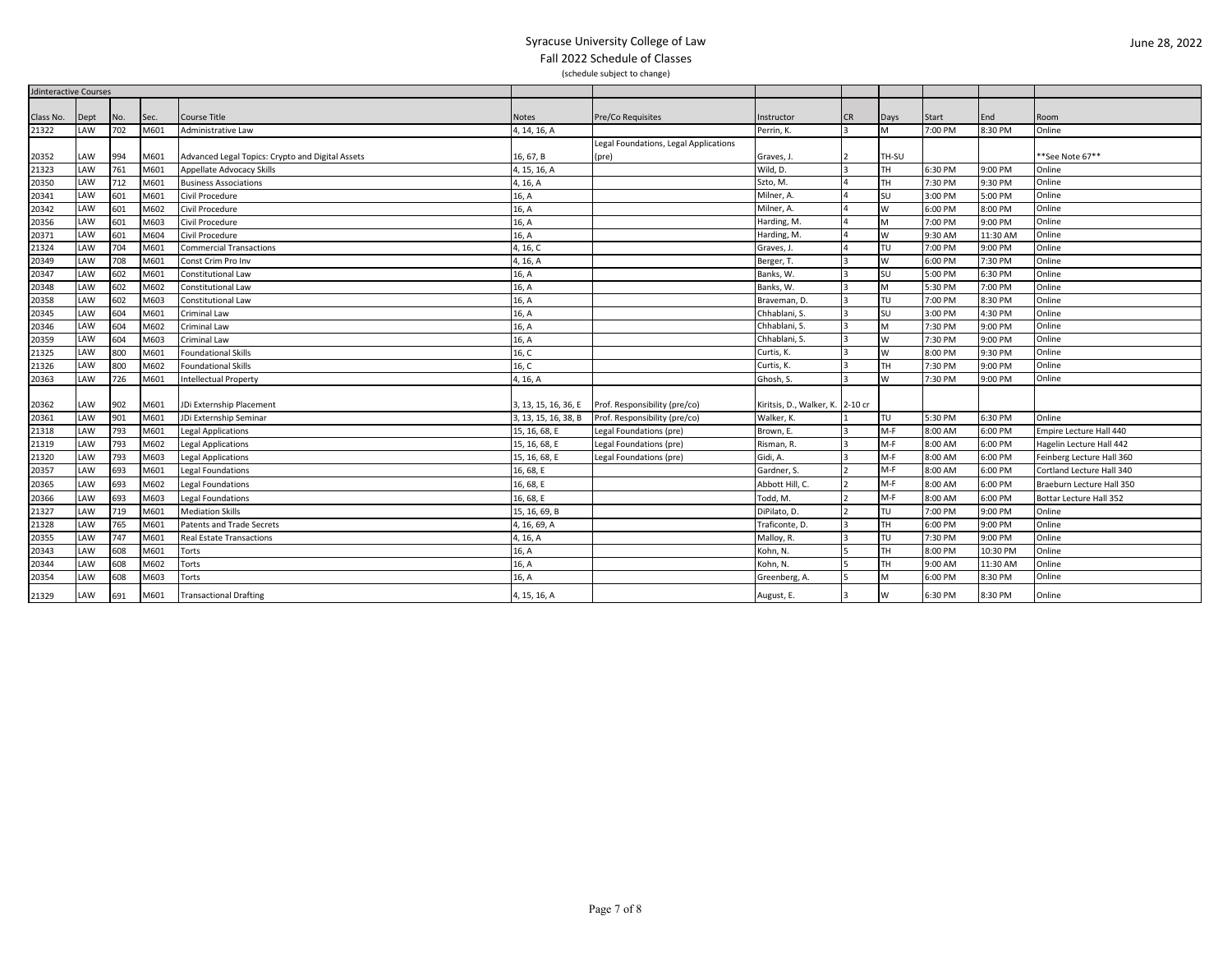| <b>Jdinteractive Courses</b> |           |     |      |                                                  |                      |                                                    |                                  |                |           |         |          |                           |
|------------------------------|-----------|-----|------|--------------------------------------------------|----------------------|----------------------------------------------------|----------------------------------|----------------|-----------|---------|----------|---------------------------|
|                              |           |     |      |                                                  |                      |                                                    |                                  |                |           |         |          |                           |
| Class No.                    | Dept      | No. | Sec. | Course Title                                     | <b>Notes</b>         | <b>Pre/Co Requisites</b>                           | Instructor                       | <b>CR</b>      | Days      | Start   | End      | Room                      |
| 21322                        | LAW       | 702 | M601 | Administrative Law                               | 4, 14, 16, A         |                                                    | Perrin, K.                       | 3              | M         | 7:00 PM | 8:30 PM  | Online                    |
|                              |           |     |      |                                                  |                      | Legal Foundations, Legal Applications              |                                  |                |           |         |          |                           |
| 20352                        | AW        | 994 | M601 | Advanced Legal Topics: Crypto and Digital Assets | 16, 67, B            | (pre)                                              | Graves, J.                       | $\overline{2}$ | TH-SU     |         |          | **See Note 67**           |
| 21323                        | LAW       | 761 | M601 | Appellate Advocacy Skills                        | 4, 15, 16, A         |                                                    | Wild, D.                         | 3              | TH.       | 6:30 PM | 9:00 PM  | Online                    |
| 20350                        | LAW       | 712 | M601 | <b>Business Associations</b>                     | 4, 16, A             |                                                    | Szto, M.                         | $\overline{a}$ | <b>TH</b> | 7:30 PM | 9:30 PM  | Online                    |
| 20341                        | LAW       | 601 | M601 | Civil Procedure                                  | 16, A                |                                                    | Milner, A.                       | $\overline{a}$ | SU        | 3:00 PM | 5:00 PM  | Online                    |
| 20342                        | LAW       | 601 | M602 | Civil Procedure                                  | 16, A                |                                                    | Milner, A.                       | $\overline{4}$ | W         | 6:00 PM | 8:00 PM  | Online                    |
| 20356                        | LAW       | 601 | M603 | Civil Procedure                                  | 16, A                |                                                    | Harding, M.                      | $\overline{4}$ | M         | 7:00 PM | 9:00 PM  | Online                    |
| 20371                        | LAW       | 601 | M604 | Civil Procedure                                  | 16, A                |                                                    | Harding, M.                      | $\overline{a}$ | W         | 9:30 AM | 11:30 AM | Online                    |
| 21324                        | LAW       | 704 | M601 | <b>Commercial Transactions</b>                   | 4, 16, C             |                                                    | Graves, J.                       |                | TU        | 7:00 PM | 9:00 PM  | Online                    |
| 20349                        | LAW       | 708 | M601 | Const Crim Pro Inv                               | 4, 16, A             |                                                    | Berger, T.                       | ıз             | W         | 6:00 PM | 7:30 PM  | Online                    |
| 20347                        | LAW       | 602 | M601 | <b>Constitutional Law</b>                        | 16, A                |                                                    | Banks, W.                        |                | <b>SU</b> | 5:00 PM | 6:30 PM  | Online                    |
| 20348                        | AW        | 602 | M602 | Constitutional Law                               | 16, A                |                                                    | Banks, W.                        | 3              | M         | 5:30 PM | 7:00 PM  | Online                    |
| 20358                        | <b>AW</b> | 602 | M603 | <b>Constitutional Law</b>                        | 16, A                |                                                    | Braveman, D.                     | 3              | TU        | 7:00 PM | 8:30 PM  | Online                    |
| 20345                        | AW        | 604 | M601 | <b>Criminal Law</b>                              | 16, A                |                                                    | Chhablani, S.                    | 3              | <b>SU</b> | 3:00 PM | 4:30 PM  | Online                    |
| 20346                        | <b>AW</b> | 604 | M602 | Criminal Law                                     | 16, A                |                                                    | Chhablani, S.                    | 3              | M         | 7:30 PM | 9:00 PM  | Online                    |
| 20359                        | LAW       | 604 | M603 | <b>Criminal Law</b>                              | 16, A                |                                                    | Chhablani, S.                    | 3              | W         | 7:30 PM | 9:00 PM  | Online                    |
| 21325                        | <b>AW</b> | 800 | M601 | <b>Foundational Skills</b>                       | 16, C                |                                                    | Curtis, K.                       | l 3            | W         | 8:00 PM | 9:30 PM  | Online                    |
| 21326                        | LAW       | 800 | M602 | <b>Foundational Skills</b>                       | 16, C                |                                                    | Curtis, K.                       | ıз             | TH        | 7:30 PM | 9:00 PM  | Online                    |
| 20363                        | LAW       | 726 | M601 | <b>Intellectual Property</b>                     | 4, 16, A             |                                                    | Ghosh, S.                        |                | W         | 7:30 PM | 9:00 PM  | Online                    |
|                              |           |     |      |                                                  |                      |                                                    |                                  |                |           |         |          |                           |
| 20362                        | AW        | 902 | M601 | JDi Externship Placement                         |                      | 3, 13, 15, 16, 36, E Prof. Responsibility (pre/co) | Kiritsis, D., Walker, K. 2-10 cr |                |           |         |          |                           |
| 20361                        | LAW       | 901 | M601 | JDi Externship Seminar                           | 3, 13, 15, 16, 38, B | Prof. Responsibility (pre/co)                      | Walker, K.                       |                | TU        | 5:30 PM | 6:30 PM  | Online                    |
| 21318                        | LAW       | 793 | M601 | <b>Legal Applications</b>                        | 15, 16, 68, E        | Legal Foundations (pre)                            | Brown, E.                        | 13             | $M-F$     | 3:00 AM | 6:00 PM  | Empire Lecture Hall 440   |
| 21319                        | LAW       | 793 | M602 | <b>Legal Applications</b>                        | 15, 16, 68, E        | Legal Foundations (pre)                            | Risman, R.                       | 3              | $M-F$     | 8:00 AM | 6:00 PM  | Hagelin Lecture Hall 442  |
| 21320                        | <b>AW</b> | 793 | M603 | <b>Legal Applications</b>                        | 15, 16, 68, E        | Legal Foundations (pre)                            | Gidi, A.                         |                | $M-F$     | 8:00 AM | 6:00 PM  | Feinberg Lecture Hall 360 |
| 20357                        | LAW       | 693 | M601 | <b>Legal Foundations</b>                         | 16, 68, E            |                                                    | Gardner, S.                      | $\overline{2}$ | $M-F$     | 8:00 AM | 6:00 PM  | Cortland Lecture Hall 340 |
| 20365                        | LAW       | 693 | M602 | Legal Foundations                                | 16, 68, E            |                                                    | Abbott Hill, C.                  |                | $M-F$     | 8:00 AM | 6:00 PM  | Braeburn Lecture Hall 350 |
| 20366                        | LAW       | 693 | M603 | egal Foundations                                 | 16, 68, E            |                                                    | Todd, M.                         |                | $M-F$     | 8:00 AM | 6:00 PM  | Bottar Lecture Hall 352   |
| 21327                        | AW        | 719 | M601 | <b>Mediation Skills</b>                          | 15, 16, 69, B        |                                                    | DiPilato, D.                     |                | TU        | 7:00 PM | 9:00 PM  | Online                    |
| 21328                        | LAW       | 765 | M601 | <b>Patents and Trade Secrets</b>                 | 4, 16, 69, A         |                                                    | Traficonte, D.                   | lз             | TH        | 6:00 PM | 9:00 PM  | Online                    |
| 20355                        | AW        | 747 | M601 | <b>Real Estate Transactions</b>                  | 4, 16, A             |                                                    | Malloy, R.                       | 3              | TU        | 7:30 PM | 9:00 PM  | Online                    |
| 20343                        | <b>AW</b> | 608 | M601 | Torts                                            | 16, A                |                                                    | Kohn, N.                         | IS.            | <b>TH</b> | 8:00 PM | 10:30 PM | Online                    |
| 20344                        | AW        | 608 | M602 | Torts                                            | 16, A                |                                                    | Kohn, N.                         | 15.            | TH        | 9:00 AM | 11:30 AM | Online                    |
| 20354                        | AW        | 608 | M603 | Torts                                            | 16, A                |                                                    | Greenberg, A.                    | 15.            | M         | 6:00 PM | 8:30 PM  | Online                    |
| 21329                        | LAW       | 691 | M601 | <b>Transactional Drafting</b>                    | 4, 15, 16, A         |                                                    | August, E.                       | 3              | W         | 6:30 PM | 8:30 PM  | Online                    |